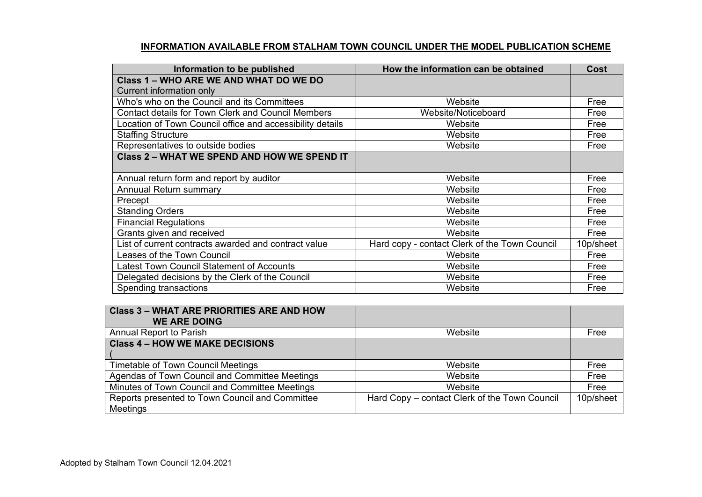## **INFORMATION AVAILABLE FROM STALHAM TOWN COUNCIL UNDER THE MODEL PUBLICATION SCHEME**

| Information to be published                               | How the information can be obtained           | <b>Cost</b> |
|-----------------------------------------------------------|-----------------------------------------------|-------------|
| Class 1 - WHO ARE WE AND WHAT DO WE DO                    |                                               |             |
| Current information only                                  |                                               |             |
| Who's who on the Council and its Committees               | Website                                       | Free        |
| <b>Contact details for Town Clerk and Council Members</b> | Website/Noticeboard                           | Free        |
| Location of Town Council office and accessibility details | Website                                       | Free        |
| <b>Staffing Structure</b>                                 | Website                                       | Free        |
| Representatives to outside bodies                         | Website                                       | Free        |
| <b>Class 2 - WHAT WE SPEND AND HOW WE SPEND IT</b>        |                                               |             |
|                                                           |                                               |             |
| Annual return form and report by auditor                  | Website                                       | Free        |
| Annuual Return summary                                    | Website                                       | Free        |
| Precept                                                   | Website                                       | Free        |
| <b>Standing Orders</b>                                    | Website                                       | Free        |
| <b>Financial Regulations</b>                              | Website                                       | Free        |
| Grants given and received                                 | Website                                       | Free        |
| List of current contracts awarded and contract value      | Hard copy - contact Clerk of the Town Council | 10p/sheet   |
| Leases of the Town Council                                | Website                                       |             |
| <b>Latest Town Council Statement of Accounts</b>          | Website                                       | Free        |
| Delegated decisions by the Clerk of the Council           | Website                                       | Free        |
| Spending transactions                                     | Website                                       | Free        |

| <b>Class 3 - WHAT ARE PRIORITIES ARE AND HOW</b> |                                               |           |
|--------------------------------------------------|-----------------------------------------------|-----------|
| <b>WE ARE DOING</b>                              |                                               |           |
| Annual Report to Parish                          | Website                                       | Free      |
| <b>Class 4 - HOW WE MAKE DECISIONS</b>           |                                               |           |
|                                                  |                                               |           |
| Timetable of Town Council Meetings               | Website                                       | Free      |
| Agendas of Town Council and Committee Meetings   | Website                                       | Free      |
| Minutes of Town Council and Committee Meetings   | Website                                       | Free      |
| Reports presented to Town Council and Committee  | Hard Copy – contact Clerk of the Town Council | 10p/sheet |
| Meetings                                         |                                               |           |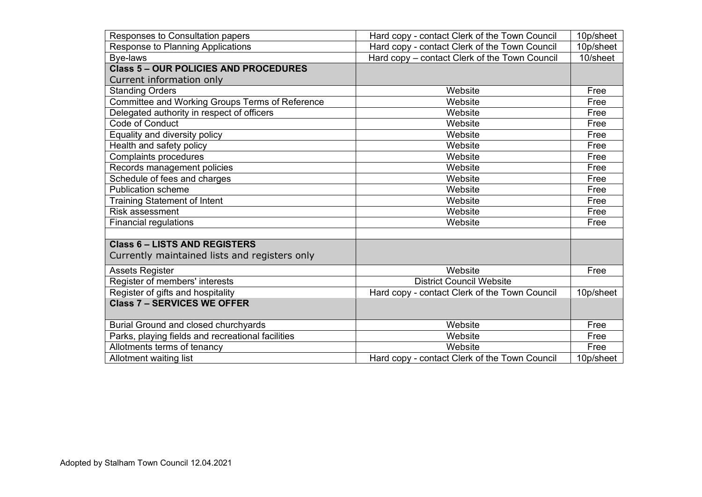| Responses to Consultation papers                  | Hard copy - contact Clerk of the Town Council              | 10p/sheet    |
|---------------------------------------------------|------------------------------------------------------------|--------------|
| Response to Planning Applications                 | Hard copy - contact Clerk of the Town Council              | 10p/sheet    |
| Bye-laws                                          | Hard copy – contact Clerk of the Town Council              | 10/sheet     |
| <b>Class 5 - OUR POLICIES AND PROCEDURES</b>      |                                                            |              |
| Current information only                          |                                                            |              |
| <b>Standing Orders</b>                            | Website                                                    | Free         |
| Committee and Working Groups Terms of Reference   | Website                                                    | Free         |
| Delegated authority in respect of officers        | Website                                                    | Free         |
| Code of Conduct                                   | Website                                                    | Free         |
| Equality and diversity policy                     | Website                                                    | Free         |
| Health and safety policy                          | Website                                                    |              |
| <b>Complaints procedures</b>                      | Website                                                    |              |
| Records management policies                       | Website                                                    | Free         |
| Schedule of fees and charges                      | Website                                                    | Free         |
| <b>Publication scheme</b>                         | Website                                                    | Free         |
| <b>Training Statement of Intent</b>               | Website                                                    | Free         |
| <b>Risk assessment</b>                            | Website                                                    | Free         |
| <b>Financial regulations</b>                      | Website                                                    | Free         |
|                                                   |                                                            |              |
| <b>Class 6 - LISTS AND REGISTERS</b>              |                                                            |              |
| Currently maintained lists and registers only     |                                                            |              |
| <b>Assets Register</b>                            | Website                                                    | Free         |
| Register of members' interests                    | <b>District Council Website</b>                            |              |
| Register of gifts and hospitality                 | Hard copy - contact Clerk of the Town Council              | 10p/sheet    |
| <b>Class 7 - SERVICES WE OFFER</b>                |                                                            |              |
|                                                   |                                                            |              |
| Burial Ground and closed churchyards              | Website                                                    | Free<br>Free |
| Parks, playing fields and recreational facilities | Website                                                    |              |
| Allotments terms of tenancy                       | Website                                                    | Free         |
| Allotment waiting list                            | Hard copy - contact Clerk of the Town Council<br>10p/sheet |              |